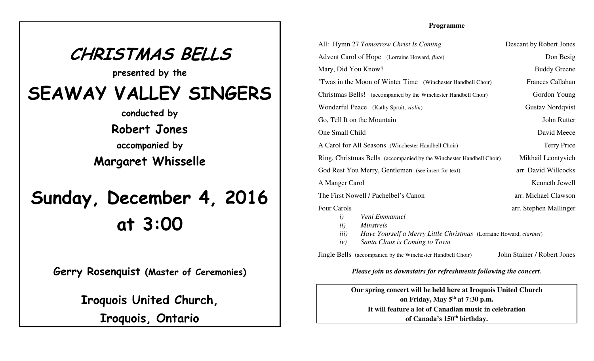## **CHRISTMAS BELLSpresented by theSEAWAY VALLEY SINGERSconducted byRobert Jonesaccompanied byMargaret WhisselleSunday, December 4, 2016at 3:00**

**Gerry Rosenquist (Master of Ceremonies)**

**Iroquois United Church,**

**Iroquois, Ontario**

## **Programme**

| All: Hymn 27 Tomorrow Christ Is Coming                                                                                                                                                   | Descant by Robert Jones     |
|------------------------------------------------------------------------------------------------------------------------------------------------------------------------------------------|-----------------------------|
| Advent Carol of Hope (Lorraine Howard, flute)                                                                                                                                            | Don Besig                   |
| Mary, Did You Know?                                                                                                                                                                      | <b>Buddy Greene</b>         |
| 'Twas in the Moon of Winter Time (Winchester Handbell Choir)                                                                                                                             | Frances Callahan            |
| Christmas Bells! (accompanied by the Winchester Handbell Choir)                                                                                                                          | Gordon Young                |
| Wonderful Peace (Kathy Spruit, violin)                                                                                                                                                   | <b>Gustav Nordqvist</b>     |
| Go, Tell It on the Mountain                                                                                                                                                              | John Rutter                 |
| One Small Child                                                                                                                                                                          | David Meece                 |
| A Carol for All Seasons (Winchester Handbell Choir)                                                                                                                                      | <b>Terry Price</b>          |
| Ring, Christmas Bells (accompanied by the Winchester Handbell Choir)                                                                                                                     | Mikhail Leontyvich          |
| God Rest You Merry, Gentlemen (see insert for text)                                                                                                                                      | arr. David Willcocks        |
| A Manger Carol                                                                                                                                                                           | Kenneth Jewell              |
| The First Nowell / Pachelbel's Canon                                                                                                                                                     | arr. Michael Clawson        |
| Four Carols<br>Veni Emmanuel<br>$\iota$<br>ii)<br><b>Minstrels</b><br>iii)<br>Have Yourself a Merry Little Christmas (Lorraine Howard, clarinet)<br>Santa Claus is Coming to Town<br>iv) | arr. Stephen Mallinger      |
| <b>Jingle Bells</b> (accompanied by the Winchester Handbell Choir)                                                                                                                       | John Stainer / Robert Jones |

*Please join us downstairs for refreshments following the concert.*

**Our spring concert will be held here at Iroquois United Churchon Friday, May 5th at 7:30 p.m.It will feature a lot of Canadian music in celebrationof Canada's 150th birthday.**